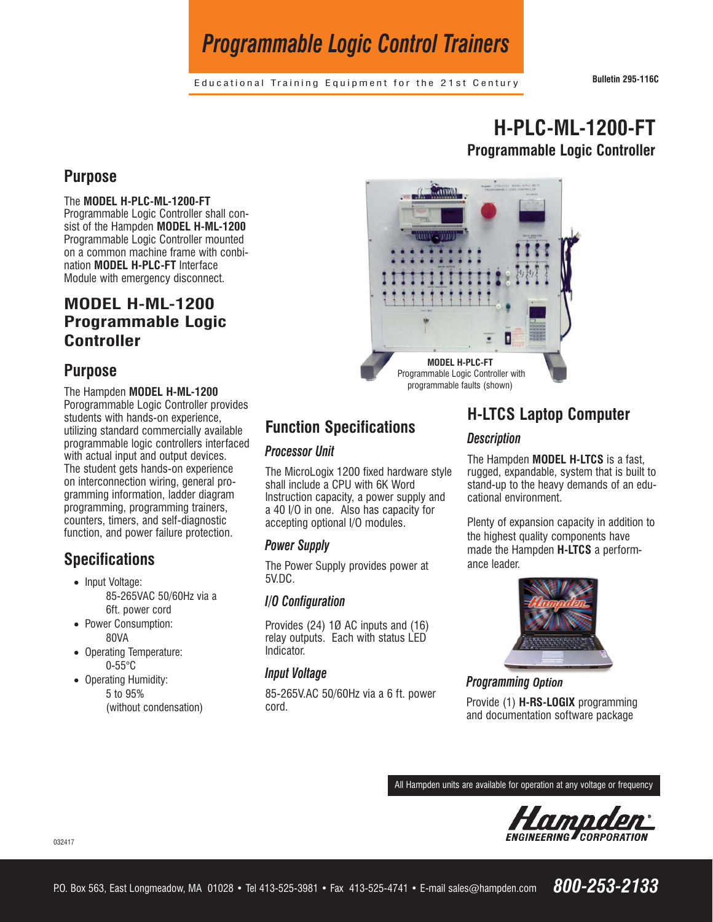# *Programmable Logic Control Trainers*

Educational Training Equipment for the 21st Century **Bulletin 295-116C**

# **H-PLC-ML-1200-FT Programmable Logic Controller**

## **Purpose**

### The **MODEL H-PLC-ML-1200-FT**

Programmable Logic Controller shall consist of the Hampden **MODEL H-ML-1200** Programmable Logic Controller mounted on a common machine frame with conbination **MODEL H-PLC-FT** Interface Module with emergency disconnect.

## **MODEL H-ML-1200 Programmable Logic Controller**

## **Purpose**

The Hampden **MODEL H-ML-1200** Porogrammable Logic Controller provides students with hands-on experience, utilizing standard commercially available programmable logic controllers interfaced with actual input and output devices. The student gets hands-on experience on interconnection wiring, general programming information, ladder diagram programming, programming trainers, counters, timers, and self-diagnostic function, and power failure protection.

# **Specifications**

- Input Voltage: 85-265VAC 50/60Hz via a 6ft. power cord
- Power Consumption: 80VA
- Operating Temperature: 0-55°C
- Operating Humidity: 5 to 95% (without condensation)



# **Function Specifications**

## **Processor Unit**

*Processor Unit* The MicroLogix 1200 fixed hardware style shall include a CPU with 6K Word Instruction capacity, a power supply and a 40 I/O in one. Also has capacity for accepting optional I/O modules.

*Power Supply* The Power Supply provides power at 5V.DC.

# *I/O Configuration*

Provides (24) 1Ø AC inputs and (16) relay outputs. Each with status LED Indicator.

*Input Voltage* 85-265V.AC 50/60Hz via a 6 ft. power cord.

# **H-LTCS Laptop Computer**

*Description* The Hampden **MODEL H-LTCS** is a fast, rugged, expandable, system that is built to stand-up to the heavy demands of an educational environment.

Plenty of expansion capacity in addition to the highest quality components have made the Hampden **H-LTCS** a performance leader.



*Programming Option* Provide (1) **H-RS-LOGIX** programming and documentation software package

All Hampden units are available for operation at any voltage or frequency